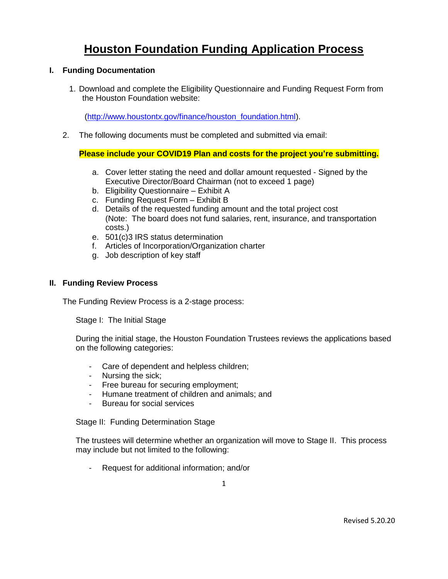# **Houston Foundation Funding Application Process**

### **I. Funding Documentation**

1. Download and complete the Eligibility Questionnaire and Funding Request Form from the Houston Foundation website:

[\(http://www.houstontx.gov/finance/houston\\_foundation.html\)](https://www.houstontx.gov/finance/houston_foundation.html).

2. The following documents must be completed and submitted via email:

## **Please include your COVID19 Plan and costs for the project you're submitting.**

- a. Cover letter stating the need and dollar amount requested Signed by the Executive Director/Board Chairman (not to exceed 1 page)
- b. Eligibility Questionnaire Exhibit A
- c. Funding Request Form Exhibit B
- d. Details of the requested funding amount and the total project cost (Note: The board does not fund salaries, rent, insurance, and transportation costs.)
- e. 501(c)3 IRS status determination
- f. Articles of Incorporation/Organization charter
- g. Job description of key staff

#### **II. Funding Review Process**

The Funding Review Process is a 2-stage process:

Stage I: The Initial Stage

During the initial stage, the Houston Foundation Trustees reviews the applications based on the following categories:

- Care of dependent and helpless children;
- Nursing the sick;
- Free bureau for securing employment;
- Humane treatment of children and animals; and
- Bureau for social services

Stage II: Funding Determination Stage

The trustees will determine whether an organization will move to Stage II. This process may include but not limited to the following:

- Request for additional information; and/or